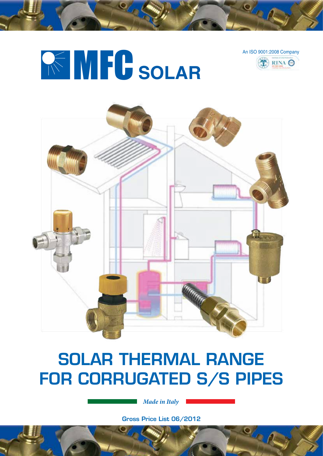



 $\mathbf{Q}_{\mathcal{F}}^{\vee}$ 





# SOLAR THERMAL RANGE FOR CORRUGATED S/S PIPES

*Made in Italy*

Gross Price List 06/2012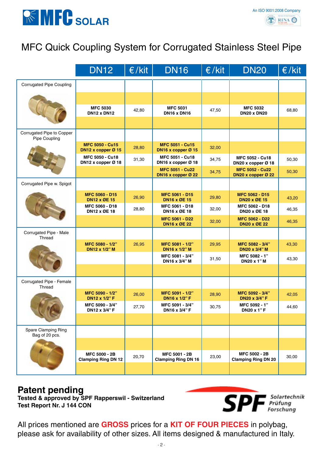

## MFC Quick Coupling System for Corrugated Stainless Steel Pipe

|                                            | <b>DN12</b>                                    | $\epsilon$ /kit | <b>DN16</b>                                    | $\epsilon$ /kit | <b>DN20</b>                                    | $\epsilon$ /kit |
|--------------------------------------------|------------------------------------------------|-----------------|------------------------------------------------|-----------------|------------------------------------------------|-----------------|
| <b>Corrugated Pipe Coupling</b>            |                                                |                 |                                                |                 |                                                |                 |
|                                            |                                                |                 |                                                |                 |                                                |                 |
|                                            | <b>MFC 5030</b><br><b>DN12 x DN12</b>          | 42,80           | <b>MFC 5031</b><br><b>DN16 x DN16</b>          | 47,50           | <b>MFC 5032</b><br><b>DN20 x DN20</b>          | 68,80           |
|                                            |                                                |                 |                                                |                 |                                                |                 |
| Corrugated Pipe to Copper<br>Pipe Coupling |                                                |                 |                                                |                 |                                                |                 |
|                                            | <b>MFC 5050 - Cu15</b><br>DN12 x copper $Ø$ 15 | 28,80           | <b>MFC 5051 - Cu15</b><br>DN16 x copper $Ø$ 15 | 32,00           |                                                |                 |
|                                            | MFC 5050 - Cu18<br>DN12 x copper Ø 18          | 31,30           | MFC 5051 - Cu18<br>DN16 x copper Ø 18          | 34,75           | <b>MFC 5052 - Cu18</b><br>DN20 x copper $Ø$ 18 | 50,30           |
|                                            |                                                |                 | <b>MFC 5051 - Cu22</b><br>DN16 x copper $Q$ 22 | 34,75           | <b>MFC 5052 - Cu22</b><br>DN20 x copper Ø 22   | 50,30           |
| Corrugated Pipe w. Spigot                  |                                                |                 |                                                |                 |                                                |                 |
|                                            | <b>MFC 5060 - D15</b><br><b>DN12 x ØE 15</b>   | 26,90           | <b>MFC 5061 - D15</b><br><b>DN16 x ØE 15</b>   | 29,80           | <b>MFC 5062 - D15</b><br><b>DN20 x ØE 15</b>   | 43,20           |
|                                            | MFC 5060 - D18<br><b>DN12 x ØE 18</b>          | 28,80           | MFC 5061 - D18<br>DN16 x ØE 18                 | 32,00           | MFC 5062 - D18<br>DN20 x ØE 18                 | 46,35           |
|                                            |                                                |                 | <b>MFC 5061 - D22</b><br><b>DN16 x ØE 22</b>   | 32,00           | <b>MFC 5062 - D22</b><br><b>DN20 x ØE 22</b>   | 46,35           |
| Corrugated Pipe - Male<br>Thread           |                                                |                 |                                                |                 |                                                |                 |
|                                            | MFC 5080 - 1/2"<br><b>DN12 x 1/2" M</b>        | 26,95           | MFC 5081 - 1/2"<br><b>DN16 x 1/2" M</b>        | 29,95           | MFC 5082 - 3/4"<br><b>DN20 x 3/4" M</b>        | 43,30           |
|                                            |                                                |                 | MFC 5081 - 3/4"<br>DN16 x 3/4" M               | 31,50           | MFC 5082 - 1"<br>DN20 x 1" M                   | 43,30           |
|                                            |                                                |                 |                                                |                 |                                                |                 |
| Corrugated Pipe - Female<br>Thread         |                                                |                 |                                                |                 |                                                |                 |
|                                            | MFC 5090 - 1/2"<br>DN12 x 1/2" F               | 26,00           | MFC 5091 - 1/2"<br><b>DN16 x 1/2" F</b>        | 28,90           | MFC 5092 - 3/4"<br><b>DN20 x 3/4" F</b>        | 42,05           |
|                                            | MFC 5090 - 3/4"<br>DN12 x 3/4" F               | 27,70           | MFC 5091 - 3/4"<br>DN16 x 3/4" F               | 30,75           | MFC 5092 - 1"<br><b>DN20 x 1"F</b>             | 44,60           |
|                                            |                                                |                 |                                                |                 |                                                |                 |
| Spare Clamping Ring<br>Bag of 20 pcs.      |                                                |                 |                                                |                 |                                                |                 |
|                                            |                                                |                 |                                                |                 |                                                |                 |
|                                            | MFC 5000 - 2B<br><b>Clamping Ring DN 12</b>    | 20,70           | MFC 5001 - 2B<br><b>Clamping Ring DN 16</b>    | 23,00           | MFC 5002 - 2B<br><b>Clamping Ring DN 20</b>    | 30,00           |
|                                            |                                                |                 |                                                |                 |                                                |                 |

### **Patent pending**

**Tested & approved by SPF Rapperswil - Switzerland Test Report Nr. J 144 CON**



All prices mentioned are **GROSS** prices for a **KIT of FOUR PIECES** in polybag, please ask for availability of other sizes. All items designed & manufactured in Italy.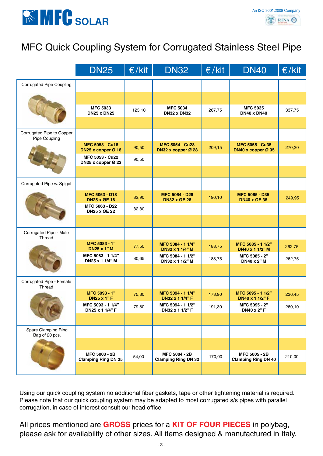

## MFC Quick Coupling System for Corrugated Stainless Steel Pipe

|                                            | <b>DN25</b>                                       | E/kit  | <b>DN32</b>                                    | $\epsilon$ /kit | <b>DN40</b>                                    | $\epsilon$ /kit |
|--------------------------------------------|---------------------------------------------------|--------|------------------------------------------------|-----------------|------------------------------------------------|-----------------|
| <b>Corrugated Pipe Coupling</b>            |                                                   |        |                                                |                 |                                                |                 |
|                                            |                                                   |        |                                                |                 |                                                |                 |
|                                            | <b>MFC 5033</b><br><b>DN25 x DN25</b>             | 123,10 | <b>MFC 5034</b><br><b>DN32 x DN32</b>          | 267,75          | <b>MFC 5035</b><br><b>DN40 x DN40</b>          | 337,75          |
|                                            |                                                   |        |                                                |                 |                                                |                 |
| Corrugated Pipe to Copper<br>Pipe Coupling |                                                   |        |                                                |                 |                                                |                 |
|                                            | <b>MFC 5053 - Cu18</b><br>DN25 x copper Ø 18      | 90,50  | <b>MFC 5054 - Cu28</b><br>DN32 x copper $Ø$ 28 | 209,15          | <b>MFC 5055 - Cu35</b><br>DN40 x copper $Ø$ 35 | 270,20          |
|                                            | MFC 5053 - Cu22<br>DN25 x copper $\varnothing$ 22 | 90,50  |                                                |                 |                                                |                 |
|                                            |                                                   |        |                                                |                 |                                                |                 |
| Corrugated Pipe w. Spigot                  |                                                   |        |                                                |                 |                                                |                 |
|                                            | MFC 5063 - D18<br><b>DN25 x ØE 18</b>             | 82,90  | <b>MFC 5064 - D28</b><br><b>DN32 x ØE 28</b>   | 190,10          | MFC 5065 - D35<br><b>DN40 x ØE 35</b>          | 249,95          |
|                                            | MFC 5063 - D22<br><b>DN25 x ØE 22</b>             | 82,80  |                                                |                 |                                                |                 |
|                                            |                                                   |        |                                                |                 |                                                |                 |
| Corrugated Pipe - Male<br>Thread           |                                                   |        |                                                |                 |                                                |                 |
|                                            | MFC 5083 - 1"<br><b>DN25 x 1"M</b>                | 77,50  | MFC 5084 - 1 1/4"<br>DN32 x 1 1/4" M           | 188,75          | MFC 5085 - 1 1/2"<br>DN40 x 1 1/2" M           | 262,75          |
|                                            | MFC 5083 - 1 1/4"<br>DN25 x 1 1/4" M              | 80,65  | MFC 5084 - 1 1/2"<br>DN32 x 1 1/2" M           | 188,75          | MFC 5085 - 2"<br>DN40 x 2" M                   | 262,75          |
|                                            |                                                   |        |                                                |                 |                                                |                 |
| Corrugated Pipe - Female<br>Thread         |                                                   |        |                                                |                 |                                                |                 |
|                                            | MFC 5093 - 1"<br><b>DN25 x 1"F</b>                | 75,30  | MFC 5094 - 1 1/4"<br>DN32 x 1 1/4" F           | 173,90          | MFC 5095 - 1 1/2"<br>DN40 x 1 1/2" F           | 236,45          |
|                                            | MFC 5093 - 1 1/4"<br>DN25 x 1 1/4" F              | 79,80  | MFC 5094 - 1 1/2"<br>DN32 x 1 1/2" F           | 191,30          | MFC 5095 - 2"<br><b>DN40 x 2"F</b>             | 260,10          |
|                                            |                                                   |        |                                                |                 |                                                |                 |
| Spare Clamping Ring<br>Bag of 20 pcs.      |                                                   |        |                                                |                 |                                                |                 |
|                                            |                                                   |        |                                                |                 |                                                |                 |
|                                            | MFC 5003 - 2B<br><b>Clamping Ring DN 25</b>       | 54,00  | MFC 5004 - 2B<br><b>Clamping Ring DN 32</b>    | 170,00          | MFC 5005 - 2B<br><b>Clamping Ring DN 40</b>    | 210,00          |
|                                            |                                                   |        |                                                |                 |                                                |                 |

Using our quick coupling system no additional fiber gaskets, tape or other tightening material is required. Please note that our quick coupling system may be adapted to most corrugated s/s pipes with parallel corrugation, in case of interest consult our head office.

All prices mentioned are **GROSS** prices for a **KIT of FOUR PIECES** in polybag, please ask for availability of other sizes. All items designed & manufactured in Italy.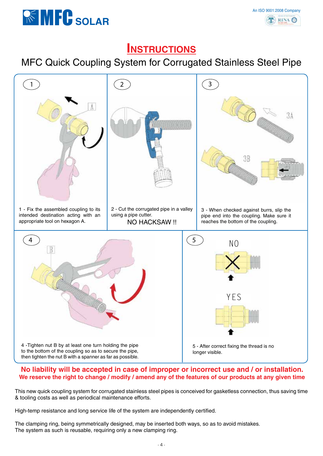



### **Instructions**

### MFC Quick Coupling System for Corrugated Stainless Steel Pipe



#### **No liability will be accepted in case of improper or incorrect use and / or installation. We reserve the right to change / modify / amend any of the features of our products at any given time**

This new quick coupling system for corrugated stainless steel pipes is conceived for gasketless connection, thus saving time & tooling costs as well as periodical maintenance efforts.

High-temp resistance and long service life of the system are independently certified.

The clamping ring, being symmetrically designed, may be inserted both ways, so as to avoid mistakes. The system as such is reusable, requiring only a new clamping ring.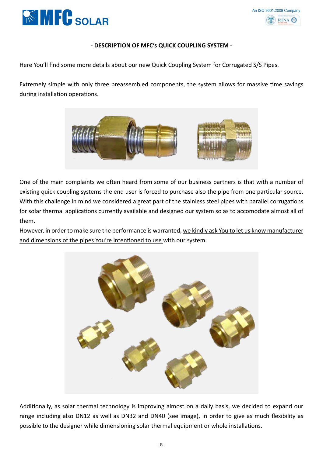



#### **- DESCRIPTION OF MFC's QUICK COUPLING SYSTEM -**

Here You'll find some more details about our new Quick Coupling System for Corrugated S/S Pipes.

Extremely simple with only three preassembled components, the system allows for massive time savings during installation operations.



One of the main complaints we often heard from some of our business partners is that with a number of existing quick coupling systems the end user is forced to purchase also the pipe from one particular source. With this challenge in mind we considered a great part of the stainless steel pipes with parallel corrugations for solar thermal applications currently available and designed our system so as to accomodate almost all of them.

However, in order to make sure the performance is warranted, we kindly ask You to let us know manufacturer and dimensions of the pipes You're intentioned to use with our system.



Additionally, as solar thermal technology is improving almost on a daily basis, we decided to expand our range including also DN12 as well as DN32 and DN40 (see image), in order to give as much flexibility as possible to the designer while dimensioning solar thermal equipment or whole installations.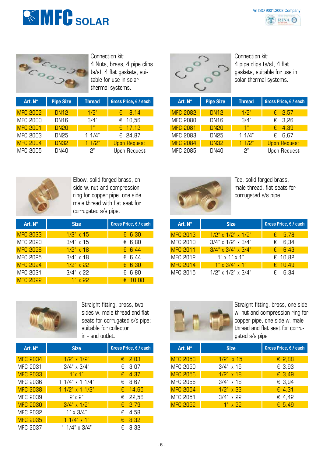



Connection kit: 4 Nuts, brass, 4 pipe clips (s/s), 4 flat gaskets, suitable for use in solar thermal systems.

| Art. $N^{\circ}$ | <b>Pipe Size</b> | <b>Thread</b> | Gross Price, € / each |
|------------------|------------------|---------------|-----------------------|
| <b>MFC 2002</b>  | <b>DN12</b>      | 1/2"          | 8,14<br>€             |
| <b>MFC 2000</b>  | <b>DN16</b>      | 3/4"          | € $10,56$             |
| <b>MFC 2001</b>  | <b>DN20</b>      | 1"            | $E = 17,12$           |
| MFC 2003         | <b>DN25</b>      | 11/4"         | € 24,87               |
| <b>MFC 2004</b>  | <b>DN32</b>      | 11/2"         | <b>Upon Request</b>   |
| <b>MFC 2005</b>  | <b>DN40</b>      | ጋ"            | <b>Upon Request</b>   |



Connection kit: 4 pipe clips (s/s), 4 flat gaskets, suitable for use in solar thermal systems.

| Art. N° | <b>Pipe Size</b> | <b>Thread</b> | Gross Price, $\epsilon$ / each | Art. $N^{\circ}$ | <b>Pipe Size</b> | <b>Thread</b>  | Gross Price, $\epsilon$ / each |
|---------|------------------|---------------|--------------------------------|------------------|------------------|----------------|--------------------------------|
| C2002   | <b>DN12</b>      | 1/2"          | 8,14<br>€                      | <b>MFC 2082</b>  | <b>DN12</b>      | 1/2"           | $E = 2,57$                     |
| C 2000  | DN <sub>16</sub> | 3/4"          | €<br>10,56                     | <b>MFC 2080</b>  | DN16             | 3/4"           | $\epsilon$ 3,26                |
| C2001   | <b>DN20</b>      | 1"            | $E$ 17,12                      | <b>MFC 2081</b>  | <b>DN20</b>      | 1 <sup>n</sup> | $\epsilon$ 4,39                |
| C 2003  | DN25             | 1 $1/4"$      | € 24,87                        | MFC 2083         | <b>DN25</b>      | 11/4"          | $E$ 6.67                       |
| C2004   | <b>DN32</b>      | 11/2"         | <b>Upon Request</b>            | <b>MFC 2084</b>  | <b>DN32</b>      | 11/2"          | <b>Upon Request</b>            |
| C 2005  | DN40             | 5.            | Upon Request                   | MFC 2085         | <b>DN40</b>      | ጋ"             | Upon Request                   |



Elbow, solid forged brass, on side w. nut and compression ring for copper pipe. one side male thread with flat seat for corrugated s/s pipe.

| Art. N°         | <b>Size</b>  | Gross Price, € / each |
|-----------------|--------------|-----------------------|
| <b>MFC 2023</b> | $1/2$ " x 15 | $E$ 6,30              |
| <b>MFC 2020</b> | $3/4"$ x 15  | $E$ 6,80              |
| <b>MFC 2026</b> | $1/2$ " x 18 | E B.44                |
| MFC 2025        | $3/4"$ x 18  | € 6,44                |
| <b>MFC 2024</b> | $1/2$ " x 22 | $E$ 6,30              |
| MFC 2021        | $3/4"$ x 22  | € 6,80                |
| <b>MFC 2022</b> | 92 א"1       | $\epsilon$ 10.08      |



Tee, solid forged brass, male thread, flat seats for corrugated s/s pipe.

| Art. N°         | <b>Size</b>                 | Gross Price, € / each |
|-----------------|-----------------------------|-----------------------|
| <b>MFC 2013</b> | $1/2$ " x $1/2$ " x $1/2$ " | $\epsilon$ 5,78       |
| MFC 2010        | $3/4$ " x $1/2$ " x $3/4$ " | $E$ 6,34              |
| <b>MFC 2011</b> | $3/4$ " x $3/4$ " x $3/4$ " | $E = 6,43$            |
| MFC 2012        | $1"$ x $1"$ x $1"$          | € 10,82               |
| <b>MFC 2014</b> | $1" \times 3/4" \times 1"$  | € $10,49$             |
| MFC 2015        | $1/2$ " x $1/2$ " x $3/4$ " | € 6.34                |



Straight fitting, brass, two sides w. male thread and flat seats for corrugated s/s pipe; suitable for collector in - and outlet.

| Art. $N^{\circ}$ | <b>Size</b>          | Gross Price, $\epsilon$ / each |
|------------------|----------------------|--------------------------------|
| <b>MFC 2034</b>  | $1/2$ " x $1/2$ "    | $\epsilon$ 2,03                |
| MFC 2031         | $3/4" \times 3/4"$   | € 3,07                         |
| <b>MFC 2033</b>  | 1"x 1"               | £ 4,37                         |
| <b>MFC 2036</b>  | $11/4$ " x 1 $1/4$ " | 8,67<br>€                      |
| <b>MFC 2038</b>  | $11/2$ " x 1 $1/2$ " | € $14,65$                      |
| MFC 2039         | 2"x 2"               | € 22,56                        |
| <b>MFC 2030</b>  | $3/4" \times 1/2"$   | $\epsilon$ 2,79                |
| MFC 2032         | $1" \times 3/4"$     | 4,58<br>€                      |
| <b>MFC 2035</b>  | $11/4" \times 1"$    | 8,32<br>€.                     |
| MFC 2037         | 1 1/4" x 3/4"        | 8.32<br>€                      |



Straight fitting, brass, one side w. nut and compression ring for copper pipe, one side w. male thread and flat seat for corrugated s/s pipe

| Art. N°         | <b>Size</b>        | Gross Price, $\epsilon$ / each |
|-----------------|--------------------|--------------------------------|
| <b>MFC 2053</b> | $1/2$ " x 15       | $E$ 2,88                       |
| <b>MFC 2050</b> | $3/4" \times 15$   | € 3,93                         |
| <b>MFC 2056</b> | $1/2$ " x 18       | $E$ 3,49                       |
| MFC 2055        | $3/4"$ x 18        | € 3.94                         |
| <b>MFC 2054</b> | $1/2$ " x 22       | £ 4,31                         |
| MFC 2051        | $3/4" \times 22$   | € 4,42                         |
| <b>MFC 2052</b> | 22 א" <sup>1</sup> | $E$ 5.49                       |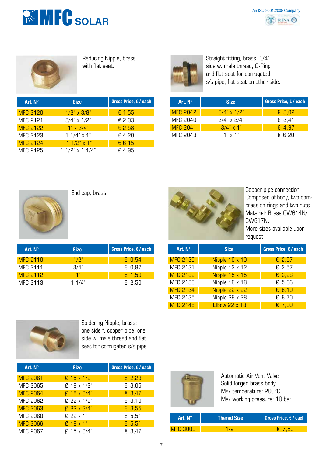



Reducing Nipple, brass with flat seat.

| Art. N°         | <b>Size</b>            | Gross Price, $\epsilon$ / each | Art. N°         | <b>Size</b> |
|-----------------|------------------------|--------------------------------|-----------------|-------------|
| <b>MFC 2120</b> | $1/2$ " x $3/8$ "      | $\epsilon$ 1.55                | <b>MFC 2042</b> | $3/4"$ x    |
| MFC 2121        | $3/4$ " x $1/2$ "      | $E$ 2,03                       | MFC 2040        | $3/4"$ x    |
| MFC 2122        | $1" \times 3/4"$       | $E$ 2,58                       | <b>MFC 2041</b> | 3/4" x      |
| MFC 2123        | $11/4$ " x 1"          | €4,20                          | MFC 2043        | 1"x         |
| <b>MFC 2124</b> | $11/2$ " x 1"          | E 6, 15                        |                 |             |
| MFC 2125        | 1 1/2" $\times$ 1 1/4" | €4.95                          |                 |             |



Straight fitting, brass, 3/4" side w. male thread, O-Ring and flat seat for corrugated s/s pipe, flat seat on other side.

| Gross Price, € / each | Art. $N^{\circ}$ | <b>Size</b>        | Gross Price, $\epsilon$ / each |
|-----------------------|------------------|--------------------|--------------------------------|
| $\epsilon$ 1,55       | <b>MFC 2042</b>  | $3/4$ " x 1/2"     | € 3,02                         |
| € 2,03                | MFC 2040         | $3/4" \times 3/4"$ | € 3,41                         |
| $E$ 2,58              | <b>MFC 2041</b>  | $3/4" \times 1"$   | $\epsilon$ 4.97                |
| € 4.20                | MFC 2043         | $1" \times 1"$     | € 6,20                         |



| Art. N°         | <b>Size</b> | Gross Price, $\epsilon$ / each | Art. N°         | <b>Size</b> |
|-----------------|-------------|--------------------------------|-----------------|-------------|
| <b>MFC 2110</b> | 1/2"        | $\epsilon$ 0,54                | <b>MFC 2130</b> | Nipple 10   |
| MFC 2111        | 3/4"        | € 0.87                         | MFC 2131        | Nipple 12   |
| <b>MFC 2112</b> | 1"          | $\epsilon$ 1.50                | <b>MFC 2132</b> | Nipple 15   |
| MFC 2113        | 11/4"       | € 2,50                         | MFC 2133        | Nipple 18   |



Composed of body, two compression rings and two nuts. Material: Brass CW614N/ CW617N. More sizes available upon request

| Gross Price, € / each | Art. N°         | <b>Size</b>          | Gross Price, € / each |
|-----------------------|-----------------|----------------------|-----------------------|
| $E$ 0,54              | <b>MFC 2130</b> | Nipple 10 x 10       | $E$ 2,57              |
| € 0,87                | MFC 2131        | Nipple 12 x 12       | € 2,57                |
| £ 1,50                | <b>MFC 2132</b> | Nipple 15 x 15       | $E$ 3,28              |
| € 2,50                | MFC 2133        | Nipple 18 x 18       | $E$ 5,66              |
|                       | <b>MFC 2134</b> | Nipple 22 x 22       | $E$ 6,10              |
|                       | MFC 2135        | Nipple 28 x 28       | € 8,70                |
|                       | <b>MFC 2146</b> | <b>Elbow 22 x 18</b> | $E$ 7,00              |



Soldering Nipple, brass: one side f. cooper pipe, one side w. male thread and flat seat for corrugated s/s pipe.

| Art. N°                     | <b>Size</b>                              | Gross Price, $\epsilon$ / each |
|-----------------------------|------------------------------------------|--------------------------------|
| <b>MFC 2061</b><br>MFC 2065 | $Ø$ 15 x 1/2"<br>$Ø$ 18 x 1/2"           | $E$ 2,23<br>$E$ 3.05           |
| <b>MFC 2064</b><br>MFC 2062 | $018 \times 3/4"$<br>$0.22 \times 1/2$ " | $E$ 3,47<br>€ 3.10             |
| MFC 2063<br>MFC 2060        | $022 \times 3/4"$<br>$022 \times 1"$     | $E$ 3,55                       |
| <b>MFC 2066</b>             | $Ø$ 18 x 1"                              | € 5,51<br>$E$ 5,51             |
| MFC 2067                    | $Ø$ 15 x 3/4"                            | € 3,47                         |



| 'Art. N°.  | <b>Therad Size</b> | Gross Price, $\epsilon$ / each |
|------------|--------------------|--------------------------------|
| JE PRI TIL |                    |                                |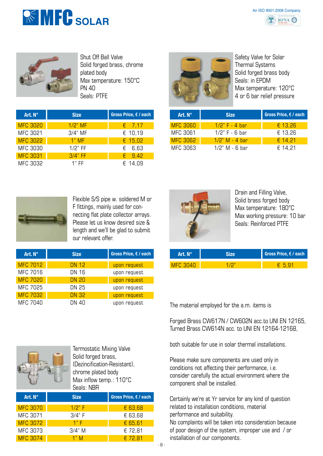



Shut Off Ball Valve Solid forged brass, chrome plated body Max temperature: 150°C **PN 40** Seals: PTFE

| Art. $N^{\circ}$ | <b>Size</b> | Gross Price, € / each |
|------------------|-------------|-----------------------|
| <b>MFC 3020</b>  | $1/2$ " MF  | $\epsilon$ 7,17       |
| MFC 3021         | $3/4"$ MF   | € 10,19               |
| <b>MFC 3022</b>  | $1"$ MF     | € $15,02$             |
| <b>MFC 3030</b>  | $1/2$ " FF  | $E$ 6.63              |
| <b>MFC 3031</b>  | $3/4"$ FF   | $\epsilon$ 9.42       |
| MFC 3032         | $1"$ FF     | € 14.09               |



Safety Valve for Solar Thermal Systems Solid forged brass body Seals: in EPDM Max temperature: 120°C 4 or 6 bar relief pressure

| Art. $N^{\circ}$ | <b>Size</b>       | Gross Price, € / each |
|------------------|-------------------|-----------------------|
| <b>MFC 3060</b>  | $1/2$ " F - 4 har | € $13,26$             |
| MFC 3061         | $1/2$ " F - 6 har | € 13,26               |
| <b>MFC 3062</b>  | $1/2$ " M - 4 bar | € 14.21               |
| MFC 3063         | $1/2$ " M - 6 har | € 14.21               |



Flexible S/S pipe w. soldered M or F fittings, mainly used for connecting flat plate collector arrays. Please let us know desired size & length and we'll be glad to submit our relevant offer.

| Art. $N^{\circ}$ | <b>Size</b>  | Gross Price, € / each |
|------------------|--------------|-----------------------|
| <b>MFC 7012</b>  | DN 12        | upon request          |
| <b>MFC 7016</b>  | <b>DN 16</b> | upon request          |
| <b>MFC 7020</b>  | <b>DN 20</b> | upon request          |
| MFC 7025         | DN 25        | upon request          |
| <b>MFC 7032</b>  | <b>DN 32</b> | upon request          |
| <b>MFC 7040</b>  | DN 40        | upon request          |



Drain and Filling Valve, Solid brass forged body Max temperature: 180°C Max working pressure: 10 bar Seals: Reinforced PTFE

| <b>Art. N°</b> | Gross Price, $\epsilon$ / each |
|----------------|--------------------------------|
| 70 J 70        |                                |

Termostatic Mixing Valve Solid forged brass, (Dezincification-Resistant), chrome plated body Max inflow temp.: 110°C Seals: NBR

| Art. N°         | <b>Size</b> | Gross Price, $f / each$ |
|-----------------|-------------|-------------------------|
| <b>MFC 3070</b> | 1/2" F      | € 63,68                 |
| MFC 3071        | 3/4" F      | € 63,68                 |
| <b>MFC 3072</b> | 1"F         | $E$ 65,61               |
| MFC 3073        | $3/4"$ M    | € 72,81                 |
| <b>MFC 3074</b> | 1"M         | € 72,81                 |

The material employed for the a.m. items is

Forged Brass CW617N / CW602N acc.to UNI EN 12165, Turned Brass CW614N acc. to UNI EN 12164-12168,

both suitable for use in solar thermal installations.

Please make sure components are used only in conditions not affecting their performance, i.e. consider carefully the actual environment where the component shall be installed.

Certainly we're at Yr service for any kind of question related to installation conditions, material performance and suitability.

No complaints will be taken into consideration because of poor design of the system, improper use and / or installation of our components.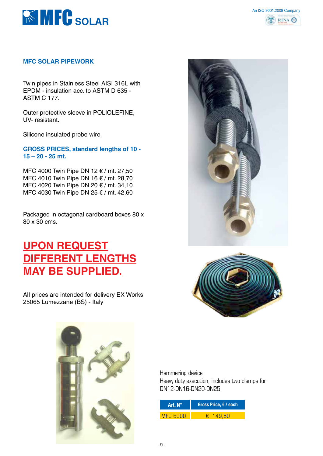



#### **MFC SOLAR PIPEWORK**

Twin pipes in Stainless Steel AISI 316L with EPDM - insulation acc. to ASTM D 635 - ASTM C 177.

Outer protective sleeve in POLIOLEFINE, UV- resistant.

Silicone insulated probe wire.

**GROSS PRICES, standard lengths of 10 - 15 – 20 - 25 mt.**

MFC 4000 Twin Pipe DN 12 € / mt. 27,50 MFC 4010 Twin Pipe DN 16 € / mt. 28,70 MFC 4020 Twin Pipe DN 20 € / mt. 34,10 MFC 4030 Twin Pipe DN 25 € / mt. 42,60

Packaged in octagonal cardboard boxes 80 x 80 x 30 cms.

## **UPON REQUEST DIFFERENT LENGTHS MAY BE SUPPLIED.**

AlI prices are intended for delivery EX Works 25065 Lumezzane (BS) - Italy







Hammering device Heavy duty execution, includes two clamps for DN12-DN16-DN20-DN25.

| Art. N°  | Gross Price, $\epsilon$ / each |
|----------|--------------------------------|
| MEP BUUL | <b>44 51</b>                   |

- 9 -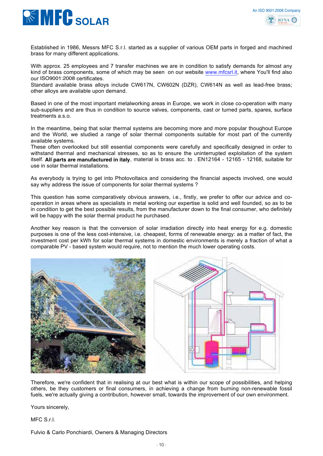

Established in 1986, Messrs MFC S.r.l. started as a supplier of various OEM parts in forged and machined brass for many different applications.

With approx. 25 employees and 7 transfer machines we are in condition to satisfy demands for almost any kind of brass components, some of which may be seen on our website www.mfcsrl.it, where You'll find also our ISO9001:2000 certificates. ISO9001:2008

Standard available brass alloys include CW617N, CW602N (DZR), CW614N as well as lead-free brass; other alloys are available upon demand.

Based in one of the most important metalworking areas in Europe, we work in close co-operation with many sub-suppliers and are thus in condition to source valves, components, cast or turned parts, spares, surface treatments a.s.o.

In the meantime, being that solar thermal systems are becoming more and more popular thoughout Europe and the World, we studied a range of solar thermal components suitable for most part of the currently available systems.

These often overlooked but still essential components were carefully and specifically designed in order to withstand thermal and mechanical stresses, so as to ensure the uninterrupted exploitation of the system **itself. All parts are manufactured in italy**, material is brass acc. to . EN12164 - 12165 - 12168, suitable for use in solar thermal installations.

As everybody is trying to get into Photovoltaics and considering the financial aspects involved, one would say why address the issue of components for solar thermal systems ?

This question has some comparatively obvious answers, i.e., firstly, we prefer to offer our advice and cooperation in areas where as specialists in metal working our expertise is solid and well founded, so as to be in condition to get the best possible results, from the manufacturer down to the final consumer, who definitely will be happy with the solar thermal product he purchased.

Another key reason is that the conversion of solar irradiation directly into heat energy for e.g. domestic purposes is one of the less cost-intensive, i.e. cheapest, forms of renewable energy: as a matter of fact, the investment cost per kWh for solar thermal systems in domestic environments is merely a fraction of what a comparable PV - based system would require, not to mention the much lower operating costs.





Therefore, we're confident that in realising at our best what is within our scope of possibilities, and helping others, be they customers or final consumers, in achieving a change from burning non-renewable fossil fuels, we're actually giving a contribution, however small, towards the improvement of our own environment.

Yours sincerely,

MFC S.r.l.

Fulvio & Carlo Ponchiardi, Owners & Managing Directors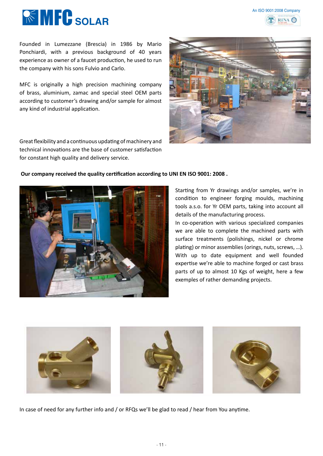



Founded in Lumezzane (Brescia) in 1986 by Mario Ponchiardi, with a previous background of 40 years experience as owner of a faucet production, he used to run the company with his sons Fulvio and Carlo.

MFC is originally a high precision machining company of brass, aluminium, zamac and special steel OEM parts according to customer's drawing and/or sample for almost any kind of industrial application.

Great flexibility and a continuous updating of machinery and technical innovations are the base of customer satisfaction for constant high quality and delivery service.

#### **Our company received the quality certification according to UNI EN ISO 9001: 2008 .**



Starting from Yr drawings and/or samples, we're in condition to engineer forging moulds, machining tools a.s.o. for Yr OEM parts, taking into account all details of the manufacturing process.

In co-operation with various specialized companies we are able to complete the machined parts with surface treatments (polishings, nickel or chrome plating) or minor assemblies (orings, nuts, screws, …). With up to date equipment and well founded expertise we're able to machine forged or cast brass parts of up to almost 10 Kgs of weight, here a few exemples of rather demanding projects.



In case of need for any further info and / or RFQs we'll be glad to read / hear from You anytime.